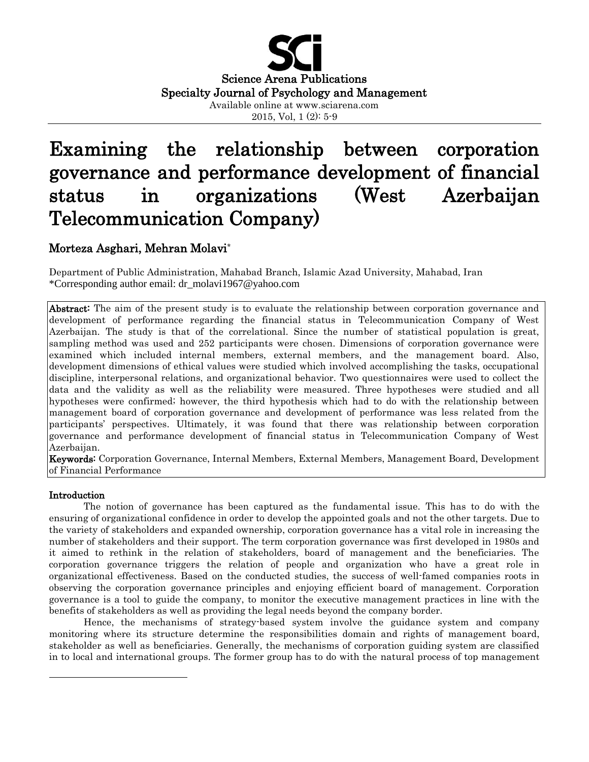

# Examining the relationship between corporation governance and performance development of financial status in organizations (West Azerbaijan Telecommunication Company)

# Morteza Asghari, Mehran Molavi**\***

Department of Public Administration, Mahabad Branch, Islamic Azad University, Mahabad, Iran \*Corresponding author email: dr\_molavi1967@yahoo.com

Abstract: The aim of the present study is to evaluate the relationship between corporation governance and development of performance regarding the financial status in Telecommunication Company of West Azerbaijan. The study is that of the correlational. Since the number of statistical population is great, sampling method was used and 252 participants were chosen. Dimensions of corporation governance were examined which included internal members, external members, and the management board. Also, development dimensions of ethical values were studied which involved accomplishing the tasks, occupational discipline, interpersonal relations, and organizational behavior. Two questionnaires were used to collect the data and the validity as well as the reliability were measured. Three hypotheses were studied and all hypotheses were confirmed; however, the third hypothesis which had to do with the relationship between management board of corporation governance and development of performance was less related from the participants' perspectives. Ultimately, it was found that there was relationship between corporation governance and performance development of financial status in Telecommunication Company of West Azerbaijan.

Keywords: Corporation Governance, Internal Members, External Members, Management Board, Development of Financial Performance

#### Introduction

 $\overline{\phantom{a}}$ 

The notion of governance has been captured as the fundamental issue. This has to do with the ensuring of organizational confidence in order to develop the appointed goals and not the other targets. Due to the variety of stakeholders and expanded ownership, corporation governance has a vital role in increasing the number of stakeholders and their support. The term corporation governance was first developed in 1980s and it aimed to rethink in the relation of stakeholders, board of management and the beneficiaries. The corporation governance triggers the relation of people and organization who have a great role in organizational effectiveness. Based on the conducted studies, the success of well-famed companies roots in observing the corporation governance principles and enjoying efficient board of management. Corporation governance is a tool to guide the company, to monitor the executive management practices in line with the benefits of stakeholders as well as providing the legal needs beyond the company border.

Hence, the mechanisms of strategy-based system involve the guidance system and company monitoring where its structure determine the responsibilities domain and rights of management board, stakeholder as well as beneficiaries. Generally, the mechanisms of corporation guiding system are classified in to local and international groups. The former group has to do with the natural process of top management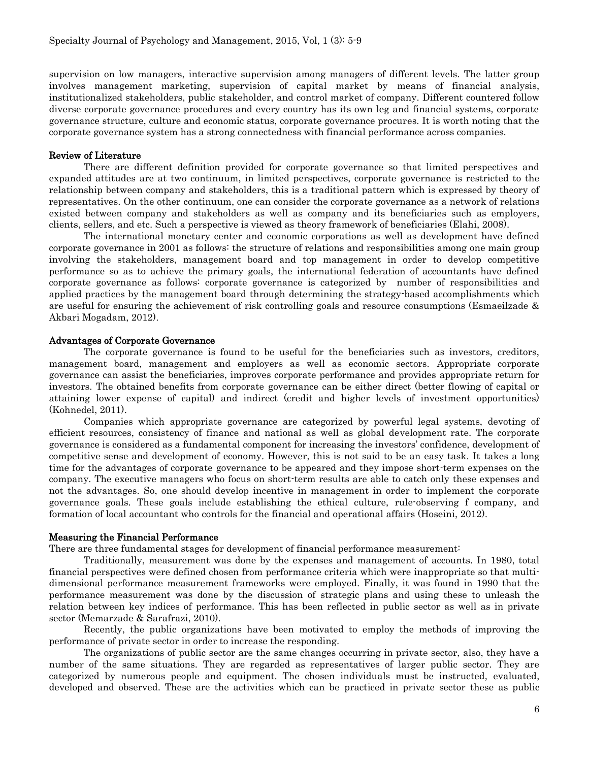supervision on low managers, interactive supervision among managers of different levels. The latter group involves management marketing, supervision of capital market by means of financial analysis, institutionalized stakeholders, public stakeholder, and control market of company. Different countered follow diverse corporate governance procedures and every country has its own leg and financial systems, corporate governance structure, culture and economic status, corporate governance procures. It is worth noting that the corporate governance system has a strong connectedness with financial performance across companies.

#### Review of Literature

There are different definition provided for corporate governance so that limited perspectives and expanded attitudes are at two continuum, in limited perspectives, corporate governance is restricted to the relationship between company and stakeholders, this is a traditional pattern which is expressed by theory of representatives. On the other continuum, one can consider the corporate governance as a network of relations existed between company and stakeholders as well as company and its beneficiaries such as employers, clients, sellers, and etc. Such a perspective is viewed as theory framework of beneficiaries (Elahi, 2008).

The international monetary center and economic corporations as well as development have defined corporate governance in 2001 as follows: the structure of relations and responsibilities among one main group involving the stakeholders, management board and top management in order to develop competitive performance so as to achieve the primary goals, the international federation of accountants have defined corporate governance as follows: corporate governance is categorized by number of responsibilities and applied practices by the management board through determining the strategy-based accomplishments which are useful for ensuring the achievement of risk controlling goals and resource consumptions (Esmaeilzade & Akbari Mogadam, 2012).

#### Advantages of Corporate Governance

The corporate governance is found to be useful for the beneficiaries such as investors, creditors, management board, management and employers as well as economic sectors. Appropriate corporate governance can assist the beneficiaries, improves corporate performance and provides appropriate return for investors. The obtained benefits from corporate governance can be either direct (better flowing of capital or attaining lower expense of capital) and indirect (credit and higher levels of investment opportunities) (Kohnedel, 2011).

Companies which appropriate governance are categorized by powerful legal systems, devoting of efficient resources, consistency of finance and national as well as global development rate. The corporate governance is considered as a fundamental component for increasing the investors' confidence, development of competitive sense and development of economy. However, this is not said to be an easy task. It takes a long time for the advantages of corporate governance to be appeared and they impose short-term expenses on the company. The executive managers who focus on short-term results are able to catch only these expenses and not the advantages. So, one should develop incentive in management in order to implement the corporate governance goals. These goals include establishing the ethical culture, rule-observing f company, and formation of local accountant who controls for the financial and operational affairs (Hoseini, 2012).

#### Measuring the Financial Performance

There are three fundamental stages for development of financial performance measurement:

Traditionally, measurement was done by the expenses and management of accounts. In 1980, total financial perspectives were defined chosen from performance criteria which were inappropriate so that multidimensional performance measurement frameworks were employed. Finally, it was found in 1990 that the performance measurement was done by the discussion of strategic plans and using these to unleash the relation between key indices of performance. This has been reflected in public sector as well as in private sector (Memarzade & Sarafrazi, 2010).

Recently, the public organizations have been motivated to employ the methods of improving the performance of private sector in order to increase the responding.

The organizations of public sector are the same changes occurring in private sector, also, they have a number of the same situations. They are regarded as representatives of larger public sector. They are categorized by numerous people and equipment. The chosen individuals must be instructed, evaluated, developed and observed. These are the activities which can be practiced in private sector these as public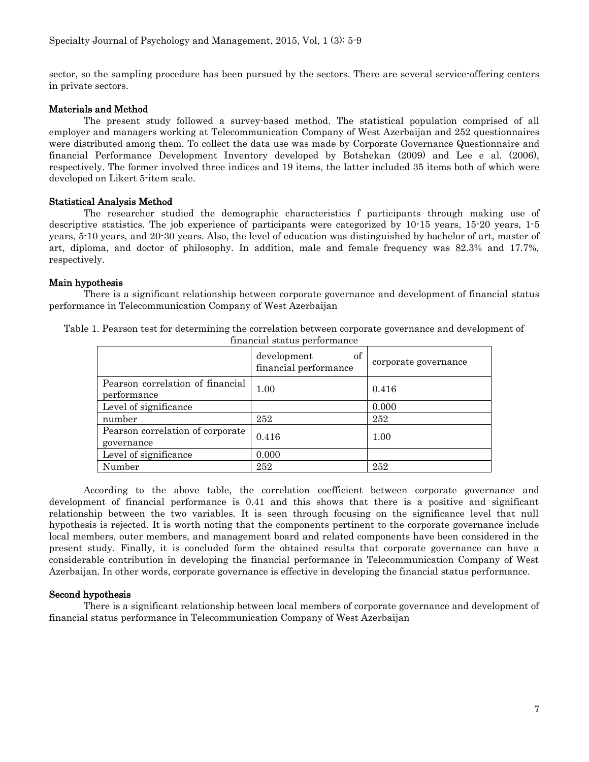sector, so the sampling procedure has been pursued by the sectors. There are several service-offering centers in private sectors.

# Materials and Method

The present study followed a survey-based method. The statistical population comprised of all employer and managers working at Telecommunication Company of West Azerbaijan and 252 questionnaires were distributed among them. To collect the data use was made by Corporate Governance Questionnaire and financial Performance Development Inventory developed by Botshekan (2009) and Lee e al. (2006), respectively. The former involved three indices and 19 items, the latter included 35 items both of which were developed on Likert 5-item scale.

# Statistical Analysis Method

The researcher studied the demographic characteristics f participants through making use of descriptive statistics. The job experience of participants were categorized by 10-15 years, 15-20 years, 1-5 years, 5-10 years, and 20-30 years. Also, the level of education was distinguished by bachelor of art, master of art, diploma, and doctor of philosophy. In addition, male and female frequency was 82.3% and 17.7%, respectively.

# Main hypothesis

There is a significant relationship between corporate governance and development of financial status performance in Telecommunication Company of West Azerbaijan

| financial status performance                    |                                            |                      |  |
|-------------------------------------------------|--------------------------------------------|----------------------|--|
|                                                 | of<br>development<br>financial performance | corporate governance |  |
| Pearson correlation of financial<br>performance | 1.00                                       | 0.416                |  |
| Level of significance                           |                                            | 0.000                |  |
| number                                          | 252                                        | 252                  |  |
| Pearson correlation of corporate<br>governance  | 0.416                                      | 1.00                 |  |
| Level of significance                           | 0.000                                      |                      |  |
| Number                                          | 252                                        | 252                  |  |

Table 1. Pearson test for determining the correlation between corporate governance and development of

According to the above table, the correlation coefficient between corporate governance and development of financial performance is 0.41 and this shows that there is a positive and significant relationship between the two variables. It is seen through focusing on the significance level that null hypothesis is rejected. It is worth noting that the components pertinent to the corporate governance include local members, outer members, and management board and related components have been considered in the present study. Finally, it is concluded form the obtained results that corporate governance can have a considerable contribution in developing the financial performance in Telecommunication Company of West Azerbaijan. In other words, corporate governance is effective in developing the financial status performance.

#### Second hypothesis

There is a significant relationship between local members of corporate governance and development of financial status performance in Telecommunication Company of West Azerbaijan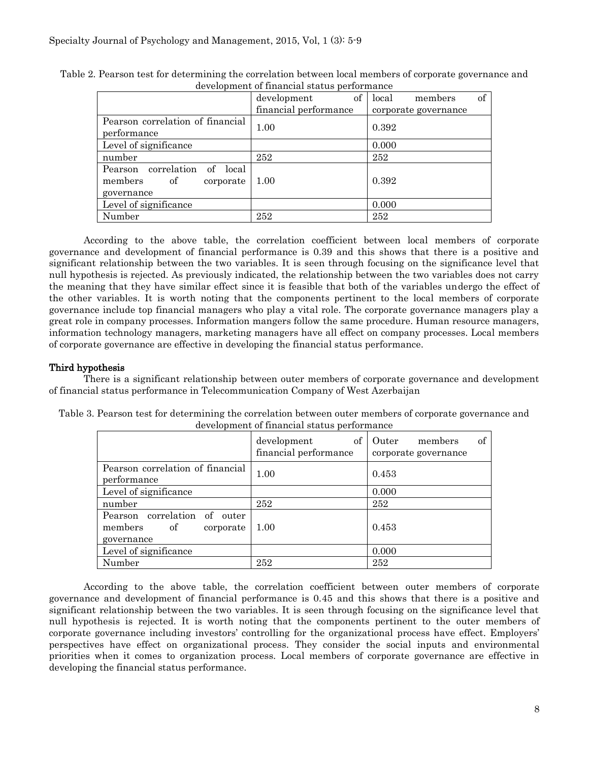| acvergencie of miameral status performance |                       |                        |  |
|--------------------------------------------|-----------------------|------------------------|--|
|                                            | of<br>development     | of<br>local<br>members |  |
|                                            | financial performance | corporate governance   |  |
| Pearson correlation of financial           | 1.00                  | 0.392                  |  |
| performance                                |                       |                        |  |
| Level of significance                      |                       | 0.000                  |  |
| number                                     | 252                   | 252                    |  |
| Pearson correlation<br>of<br>local         |                       |                        |  |
| members<br>of<br>corporate                 | 1.00                  | 0.392                  |  |
| governance                                 |                       |                        |  |
| Level of significance                      |                       | 0.000                  |  |
| Number                                     | 252                   | 252                    |  |

Table 2. Pearson test for determining the correlation between local members of corporate governance and development of financial status performance

According to the above table, the correlation coefficient between local members of corporate governance and development of financial performance is 0.39 and this shows that there is a positive and significant relationship between the two variables. It is seen through focusing on the significance level that null hypothesis is rejected. As previously indicated, the relationship between the two variables does not carry the meaning that they have similar effect since it is feasible that both of the variables undergo the effect of the other variables. It is worth noting that the components pertinent to the local members of corporate governance include top financial managers who play a vital role. The corporate governance managers play a great role in company processes. Information mangers follow the same procedure. Human resource managers, information technology managers, marketing managers have all effect on company processes. Local members of corporate governance are effective in developing the financial status performance.

# Third hypothesis

There is a significant relationship between outer members of corporate governance and development of financial status performance in Telecommunication Company of West Azerbaijan

| ac velopment of miameial status performance                              |                                            |                                                |  |  |
|--------------------------------------------------------------------------|--------------------------------------------|------------------------------------------------|--|--|
|                                                                          | of<br>development<br>financial performance | of<br>members<br>Outer<br>corporate governance |  |  |
| Pearson correlation of financial<br>performance                          | 1.00                                       | 0.453                                          |  |  |
| Level of significance                                                    |                                            | 0.000                                          |  |  |
| number                                                                   | 252                                        | 252                                            |  |  |
| Pearson correlation of outer<br>members<br>of<br>corporate<br>governance | 1.00                                       | 0.453                                          |  |  |
| Level of significance                                                    |                                            | 0.000                                          |  |  |
| Number                                                                   | 252                                        | 252                                            |  |  |

| Table 3. Pearson test for determining the correlation between outer members of corporate governance and |                                             |  |
|---------------------------------------------------------------------------------------------------------|---------------------------------------------|--|
|                                                                                                         | development of financial status performance |  |

According to the above table, the correlation coefficient between outer members of corporate governance and development of financial performance is 0.45 and this shows that there is a positive and significant relationship between the two variables. It is seen through focusing on the significance level that null hypothesis is rejected. It is worth noting that the components pertinent to the outer members of corporate governance including investors' controlling for the organizational process have effect. Employers' perspectives have effect on organizational process. They consider the social inputs and environmental priorities when it comes to organization process. Local members of corporate governance are effective in developing the financial status performance.